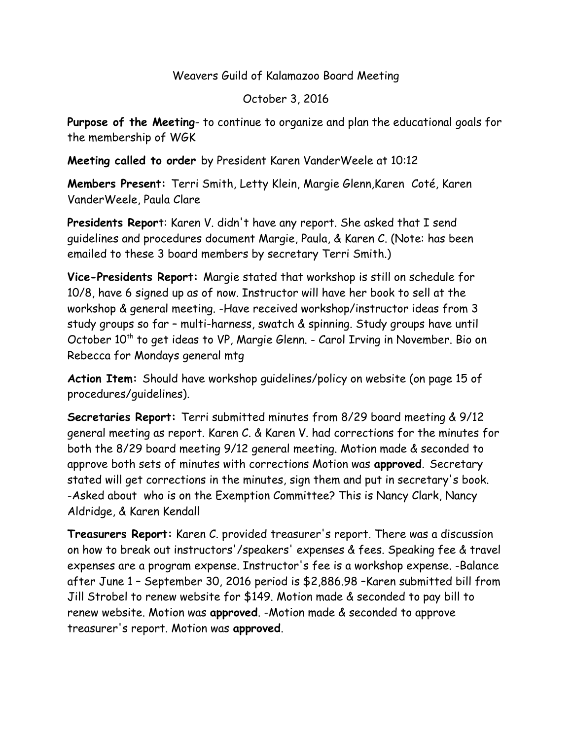#### Weavers Guild of Kalamazoo Board Meeting

October 3, 2016

**Purpose of the Meeting**- to continue to organize and plan the educational goals for the membership of WGK

**Meeting called to order** by President Karen VanderWeele at 10:12

**Members Present:** Terri Smith, Letty Klein, Margie Glenn,Karen Coté, Karen VanderWeele, Paula Clare

**Presidents Repor**t: Karen V. didn't have any report. She asked that I send guidelines and procedures document Margie, Paula, & Karen C. (Note: has been emailed to these 3 board members by secretary Terri Smith.)

**Vice-Presidents Report:** Margie stated that workshop is still on schedule for 10/8, have 6 signed up as of now. Instructor will have her book to sell at the workshop & general meeting. -Have received workshop/instructor ideas from 3 study groups so far – multi-harness, swatch & spinning. Study groups have until October 10<sup>th</sup> to get ideas to VP, Margie Glenn. - Carol Irving in November. Bio on Rebecca for Mondays general mtg

**Action Item:** Should have workshop guidelines/policy on website (on page 15 of procedures/guidelines).

**Secretaries Report:** Terri submitted minutes from 8/29 board meeting & 9/12 general meeting as report. Karen C. & Karen V. had corrections for the minutes for both the 8/29 board meeting 9/12 general meeting. Motion made & seconded to approve both sets of minutes with corrections Motion was **approved**. Secretary stated will get corrections in the minutes, sign them and put in secretary's book. -Asked about who is on the Exemption Committee? This is Nancy Clark, Nancy Aldridge, & Karen Kendall

**Treasurers Report:** Karen C. provided treasurer's report. There was a discussion on how to break out instructors'/speakers' expenses & fees. Speaking fee & travel expenses are a program expense. Instructor's fee is a workshop expense. -Balance after June 1 – September 30, 2016 period is \$2,886.98 –Karen submitted bill from Jill Strobel to renew website for \$149. Motion made & seconded to pay bill to renew website. Motion was **approved**. -Motion made & seconded to approve treasurer's report. Motion was **approved**.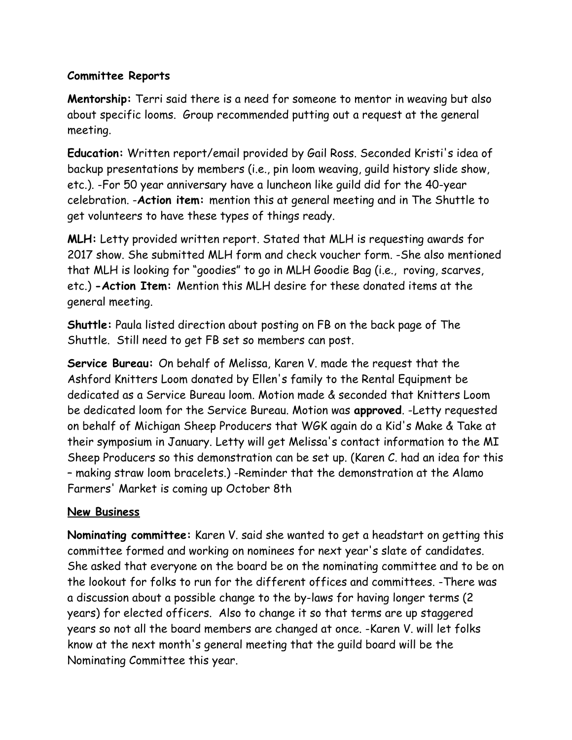## **Committee Reports**

**Mentorship:** Terri said there is a need for someone to mentor in weaving but also about specific looms. Group recommended putting out a request at the general meeting.

**Education:** Written report/email provided by Gail Ross. Seconded Kristi's idea of backup presentations by members (i.e., pin loom weaving, guild history slide show, etc.). -For 50 year anniversary have a luncheon like guild did for the 40-year celebration. -**Action item:** mention this at general meeting and in The Shuttle to get volunteers to have these types of things ready.

**MLH:** Letty provided written report. Stated that MLH is requesting awards for 2017 show. She submitted MLH form and check voucher form. -She also mentioned that MLH is looking for "goodies" to go in MLH Goodie Bag (i.e., roving, scarves, etc.) **-Action Item:** Mention this MLH desire for these donated items at the general meeting.

**Shuttle:** Paula listed direction about posting on FB on the back page of The Shuttle. Still need to get FB set so members can post.

**Service Bureau:** On behalf of Melissa, Karen V. made the request that the Ashford Knitters Loom donated by Ellen's family to the Rental Equipment be dedicated as a Service Bureau loom. Motion made & seconded that Knitters Loom be dedicated loom for the Service Bureau. Motion was **approved**. -Letty requested on behalf of Michigan Sheep Producers that WGK again do a Kid's Make & Take at their symposium in January. Letty will get Melissa's contact information to the MI Sheep Producers so this demonstration can be set up. (Karen C. had an idea for this – making straw loom bracelets.) -Reminder that the demonstration at the Alamo Farmers' Market is coming up October 8th

## **New Business**

**Nominating committee:** Karen V. said she wanted to get a headstart on getting this committee formed and working on nominees for next year's slate of candidates. She asked that everyone on the board be on the nominating committee and to be on the lookout for folks to run for the different offices and committees. -There was a discussion about a possible change to the by-laws for having longer terms (2 years) for elected officers. Also to change it so that terms are up staggered years so not all the board members are changed at once. -Karen V. will let folks know at the next month's general meeting that the guild board will be the Nominating Committee this year.